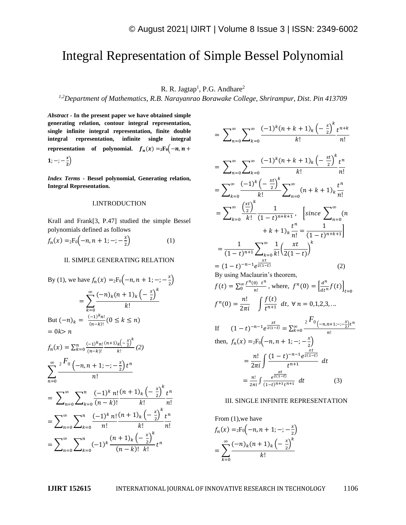# Integral Representation of Simple Bessel Polynomial

R. R. Jagtap<sup>1</sup>, P.G. Andhare<sup>2</sup>

*1,2Department of Mathematics, R.B. Narayanrao Borawake College, Shrirampur, Dist. Pin 413709*

*Abstract -* **In the present paper we have obtained simple generating relation, contour integral representation, single infinite integral representation, finite double integral representation, infinite single integral representation** of **polynomial.**  $f_n(x) = 2F_0(-n, n +$ 1;  $-$ ;  $\frac{x}{2}$  $\frac{1}{2}$ 

*Index Terms -* **Bessel polynomial, Generating relation, Integral Representation.**

#### I.INTRODUCTION

Krall and Frank[3, P.47] studied the simple Bessel polynomials defined as follows

$$
f_n(x) = {}_2F_0(-n, n+1; -; -\frac{x}{2})
$$
 (1)

### II. SIMPLE GENERATING RELATION

By (1), we have 
$$
f_n(x) = {}_2F_0(-n, n + 1; -; -\frac{x}{2})
$$
  
\n
$$
= \sum_{k=0}^{\infty} \frac{(-n)_k (n + 1)_k \left(-\frac{x}{2}\right)^k}{k!}
$$
\nBut  $(-n)_k = \frac{(-1)^k n!}{(n-k)!} (0 \le k \le n)$   
\n
$$
= 0k > n
$$
\n
$$
f_n(x) = \sum_{k=0}^n \frac{(-1)^k n!}{(n-k)!} \frac{(n+1)_k \left(-\frac{x}{2}\right)^k}{k!} (2)
$$
\n
$$
\sum_{n=0}^{\infty} \frac{{}_2F_0(-n, n + 1; -; -\frac{x}{2})t^n}{n!}
$$
\n
$$
= \sum_{n=0}^{\infty} \sum_{k=0}^n \frac{(-1)^k n!}{(n-k)!} \frac{(n+1)_k \left(-\frac{x}{2}\right)^k t^n}{k!} \frac{1}{n!}
$$
\n
$$
= \sum_{n=0}^{\infty} \sum_{k=0}^n \frac{(-1)^k n!}{n!} \frac{(n+1)_k \left(-\frac{x}{2}\right)^k t^n}{k!} \frac{1}{n!}
$$
\n
$$
= \sum_{n=0}^{\infty} \sum_{k=0}^n (-1)^k \frac{(n+1)_k \left(-\frac{x}{2}\right)^k}{(n-k)!} t^n
$$

$$
= \sum_{n=0}^{\infty} \sum_{k=0}^{\infty} \frac{(-1)^k (n+k+1)_k \left(-\frac{x}{2}\right)^k t^{n+k}}{k!} = \sum_{n=0}^{\infty} \sum_{k=0}^{\infty} \frac{(-1)^k (n+k+1)_k \left(-\frac{x^t}{2}\right)^k t^n}{k!} = \sum_{k=0}^{\infty} \frac{(-1)^k \left(-\frac{x^t}{2}\right)^k}{k!} \sum_{n=0}^{\infty} (n+k+1)_k \frac{t^n}{n!} = \sum_{k=0}^{\infty} \frac{\left(\frac{x^t}{2}\right)^k}{k!} \frac{1}{(1-t)^{n+k+1}}, \quad \left[\text{since } \sum_{n=0}^{\infty} (n+k+1)_k \frac{t^n}{n!} = \frac{1}{(1-t)^{n+k+1}}\right] = \frac{1}{(1-t)^{n+1}} \sum_{k=0}^{\infty} \frac{1}{k!} \left(\frac{xt}{2(1-t)}\right)^k = (1-t)^{-n-1} e^{\frac{xt}{2(1-t)}} \tag{2}
$$

By using Maclaurin's theorem,

$$
f(t) = \sum_{0}^{\infty} \frac{f^{(n)}(0)}{n!}, \text{ where, } f^{(n)}(0) = \left[\frac{d^{(n)}}{dt^{(n)}} f(t)\right]_{t=0}
$$

$$
f^{(n)}(0) = \frac{n!}{2\pi i} \int \frac{f(t)}{t^{n+1}} dt, \forall n = 0, 1, 2, 3, ...
$$

 $\overline{E}$ 

If 
$$
(1-t)^{-n-1}e^{\frac{xt}{2(1-t)}} = \sum_{k=0}^{\infty} \frac{2^{k} (n-1)(n+1)-\sum_{k=0}^{\infty} t^{n}}{n!}
$$
  
\nthen,  $f_n(x) = {}_2F_0(-n, n+1; -; -\sum_{k=0}^{\infty} t^{n}$   
\n $= \frac{n!}{2\pi i} \int \frac{(1-t)^{-n-1}e^{\frac{xt}{2(1-t)}}}{t^{n+1}} dt$   
\n $= \frac{n!}{2\pi i} \int \frac{e^{\frac{xt}{2(1-t)}}}{(1-t)^{n+1}t^{n+1}} dt$  (3)

#### III. SINGLE INFINITE REPRESENTATION

From (1), we have  
\n
$$
f_n(x) = {}_2F_0(-n, n + 1; -; -\frac{x}{2})
$$
\n
$$
= \sum_{k=0}^{\infty} \frac{(-n)_k(n + 1)_k(-\frac{x}{2})^k}{k!}
$$

**IJIRT 152615** INTERNATIONAL JOURNAL OF INNOVATIVE RESEARCH IN TECHNOLOGY 1106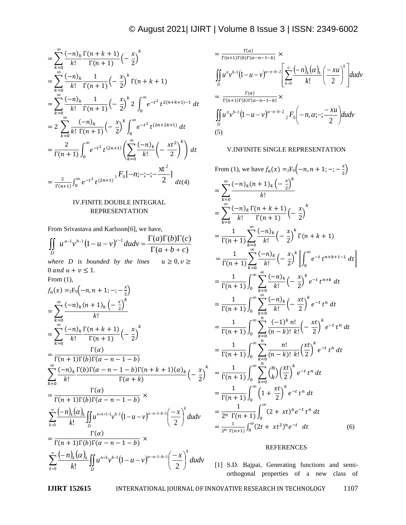$$
\begin{split}\n&= \sum_{k=0}^{\infty} \frac{(-n)_k}{k!} \frac{\Gamma(n+k+1)}{\Gamma(n+1)} \left(-\frac{x}{2}\right)^k \\
&= \sum_{k=0}^{\infty} \frac{(-n)_k}{k!} \frac{1}{\Gamma(n+1)} \left(-\frac{x}{2}\right)^k \Gamma(n+k+1) \\
&= \sum_{k=0}^{\infty} \frac{(-n)_k}{k!} \frac{1}{\Gamma(n+1)} \left(-\frac{x}{2}\right)^k 2 \int_0^{\infty} e^{-t^2} t^{2(n+k+1)-1} dt \\
&= 2 \sum_{k=0}^{\infty} \frac{(-n)_k}{k!} \frac{(-n)_k}{\Gamma(n+1)} \left(-\frac{x}{2}\right)^k \int_0^{\infty} e^{-t^2} t^{(2n+2k+1)} dt \\
&= \frac{2}{\Gamma(n+1)} \int_0^{\infty} e^{-t^2} t^{(2n+1)} \left(\sum_{k=0}^{\infty} \frac{(-n)_k}{k!} \left(-\frac{xt^2}{2}\right)^k\right) dt \\
&= \frac{2}{\Gamma(n+1)} \int_0^{\infty} e^{-t^2} t^{(2n+1)} \frac{F_0[-n;-;-;-\frac{xt^2}{2}]}{dt(4)} dt\n\end{split}
$$

## IV.FINITE DOUBLE INTEGRAL REPRESENTATION

From Srivastava and Karlsson[6], we have,

$$
\iint_{D} u^{a-1}v^{b-1}(1-u-v)^{c-1}dudv = \frac{\Gamma(a)\Gamma(b)\Gamma(c)}{\Gamma(a+b+c)}
$$
\nwhere *D* is bounded by the lines  $u \ge 0, v \ge 0$  and  $u + v \le 1$ .  
\nFrom (1),  
\n $f_n(x) = {}_2F_0(-n, n + 1; -; -\frac{x}{2})$   
\n $= \sum_{k=0}^{\infty} \frac{(-n)_k(n+1)_k(-\frac{x}{2})^k}{k!}$   
\n $= \sum_{k=0}^{\infty} \frac{(-n)_k}{k!} \frac{\Gamma(n+k+1)}{\Gamma(n+1)}(-\frac{x}{2})^k$   
\n $= \frac{\Gamma(\alpha)}{\Gamma(n+1)\Gamma(b)\Gamma(\alpha - n - 1 - b)}$   
\n $\sum_{k=0}^{\infty} \frac{(-n)_k}{k!} \frac{\Gamma(b)\Gamma(\alpha - n - 1 - b)\Gamma(n+k+1)(\alpha)_k}{\Gamma(\alpha + k)}(-\frac{x}{2})^k$   
\n $= \frac{\Gamma(\alpha)}{\Gamma(n+1)\Gamma(b)\Gamma(\alpha - n - 1 - b)} \times$   
\n $\sum_{k=0}^{\infty} \frac{(-n)_k(\alpha)_k}{k!} \iint_{D} u^{n+k+1}v^{b-1}(1-u-v)^{\alpha-n-1-b-1}(-\frac{x}{2})^k dudv$   
\n $= \frac{\Gamma(\alpha)}{\Gamma(n+1)\Gamma(b)\Gamma(\alpha - n - 1 - b)} \times$   
\n $\sum_{k=0}^{\infty} \frac{(-n)_k(\alpha)_k}{k!} \iint_{D} u^{n+k}v^{b-1}(1-u-v)^{\alpha-n-1-b-1}(-\frac{x}{2})^k dudv$ 

$$
= \frac{\Gamma(\alpha)}{\Gamma(n+1)\Gamma(b)\Gamma(\alpha-n-1-b)} \times
$$
  
\n
$$
\iint_D u^n v^{b-1} (1-u-v)^{\alpha-n-b-2} \left[ \sum_{k=0}^{\infty} \frac{(-n)_k (\alpha)_k}{k!} \left( \frac{-xu}{2} \right)^k \right] dudv
$$
  
\n
$$
= \frac{\Gamma(\alpha)}{\Gamma(n+1)\Gamma(b)\Gamma(\alpha-n-1-b)} \times
$$
  
\n
$$
\iint_D u^n v^{b-1} (1-u-v)^{\alpha-n-b-2} {}_{2}F_0 \left( -n, \alpha; -; \frac{-xu}{2} \right) dudv
$$
  
\n(5)

## V.INFINITE SINGLE REPRESENTATION

From (1), we have 
$$
f_n(x) = {}_2F_0(-n, n + 1; -; -\frac{x}{2})
$$
  
\n
$$
= \sum_{k=0}^{\infty} \frac{(-n)_k (n + 1)_k (-\frac{x}{2})^k}{k!}
$$
\n
$$
= \sum_{k=0}^{\infty} \frac{(-n)_k}{k!} \frac{\Gamma(n + k + 1)}{\Gamma(n + 1)} (-\frac{x}{2})^k
$$
\n
$$
= \frac{1}{\Gamma(n + 1)} \sum_{k=0}^{\infty} \frac{(-n)_k}{k!} (-\frac{x}{2})^k \Gamma(n + k + 1)
$$
\n
$$
= \frac{1}{\Gamma(n + 1)} \sum_{k=0}^{\infty} \frac{(-n)_k}{k!} (-\frac{x}{2})^k \left[ \int_0^{\infty} e^{-t} t^{n + k + 1 - 1} dt \right]
$$
\n
$$
= \frac{1}{\Gamma(n + 1)} \int_0^{\infty} \sum_{k=0}^{\infty} \frac{(-n)_k}{k!} (-\frac{x}{2})^k e^{-t} t^{n + k} dt
$$
\n
$$
= \frac{1}{\Gamma(n + 1)} \int_0^{\infty} \sum_{k=0}^{\infty} \frac{(-n)_k}{k!} (-\frac{xt}{2})^k e^{-t} t^n dt
$$
\n
$$
= \frac{1}{\Gamma(n + 1)} \int_0^{\infty} \sum_{k=0}^{\infty} \frac{(-1)^k n!}{(n - k)! k!} (-\frac{xt}{2})^k e^{-t} t^n dt
$$
\n
$$
= \frac{1}{\Gamma(n + 1)} \int_0^{\infty} \sum_{k=0}^{\infty} \frac{n!}{(n - k)! k!} \frac{x t}{(2)}^k e^{-t} t^n dt
$$
\n
$$
= \frac{1}{\Gamma(n + 1)} \int_0^{\infty} \sum_{k=0}^{\infty} {n \choose k} \left( \frac{xt}{2} \right)^k e^{-t} t^n dt
$$
\n
$$
= \frac{1}{2^n \Gamma(n + 1)} \int_0^{\infty} (1 + \frac{xt}{2})^n e^{-t} t^n dt
$$
\n
$$
= \frac{1}{2^n \Gamma(n + 1)} \int_0^{\infty} (2 + xt)^n e^{-t}
$$

## REFERENCES

[1] S.D. Bajpai, Generating functions and semiorthogonal properties of a new class of

**IJIRT 152615** INTERNATIONAL JOURNAL OF INNOVATIVE RESEARCH IN TECHNOLOGY 1107

 $\boldsymbol{k}$